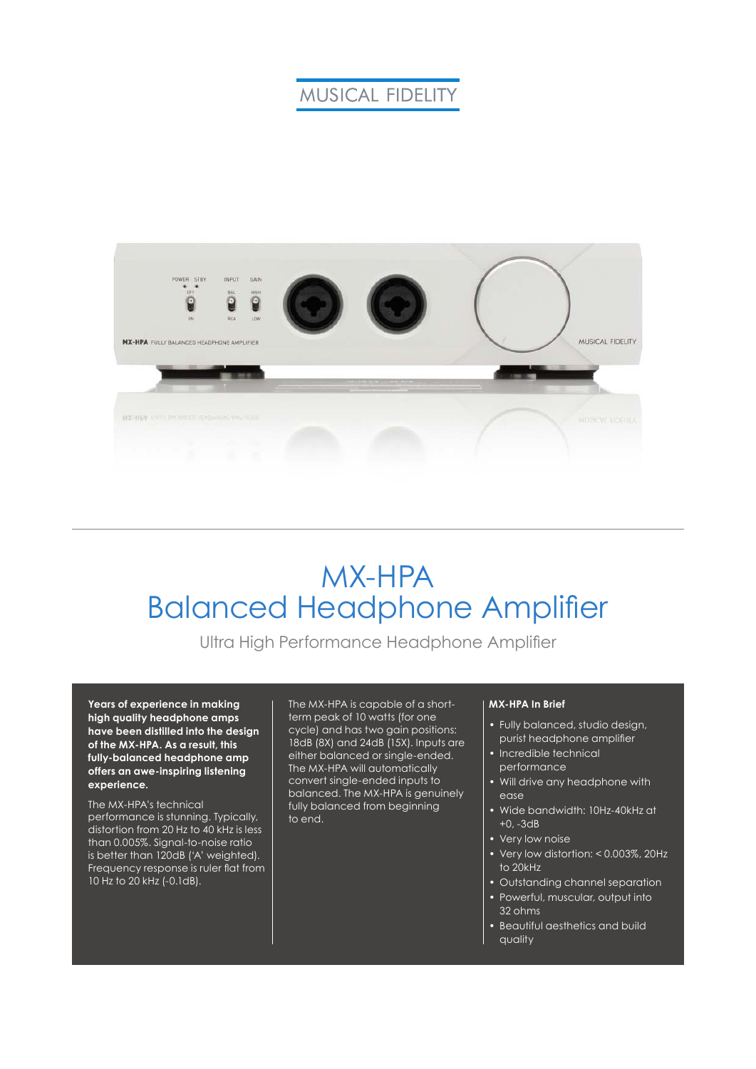### **MUSICAL FIDELITY**



# MX-HPA Balanced Headphone Amplifier

Ultra High Performance Headphone Amplifier

**Years of experience in making high quality headphone amps have been distilled into the design of the MX-HPA. As a result, this fully-balanced headphone amp offers an awe-inspiring listening experience.**

The MX-HPA's technical performance is stunning. Typically, distortion from 20 Hz to 40 kHz is less than 0.005%. Signal-to-noise ratio is better than 120dB ('A' weighted). Frequency response is ruler flat from 10 Hz to 20 kHz (-0.1dB).

The MX-HPA is capable of a shortterm peak of 10 watts (for one cycle) and has two gain positions: 18dB (8X) and 24dB (15X). Inputs are either balanced or single-ended. The MX-HPA will automatically convert single-ended inputs to balanced. The MX-HPA is genuinely fully balanced from beginning to end.

#### **MX-HPA In Brief**

- Fully balanced, studio design, purist headphone amplifier
- Incredible technical performance
- Will drive any headphone with ease
- Wide bandwidth: 10Hz-40kHz at +0, -3dB
- Very low noise
- Very low distortion: < 0.003%, 20Hz to 20kHz
- Outstanding channel separation
- Powerful, muscular, output into 32 ohms
- Beautiful aesthetics and build quality